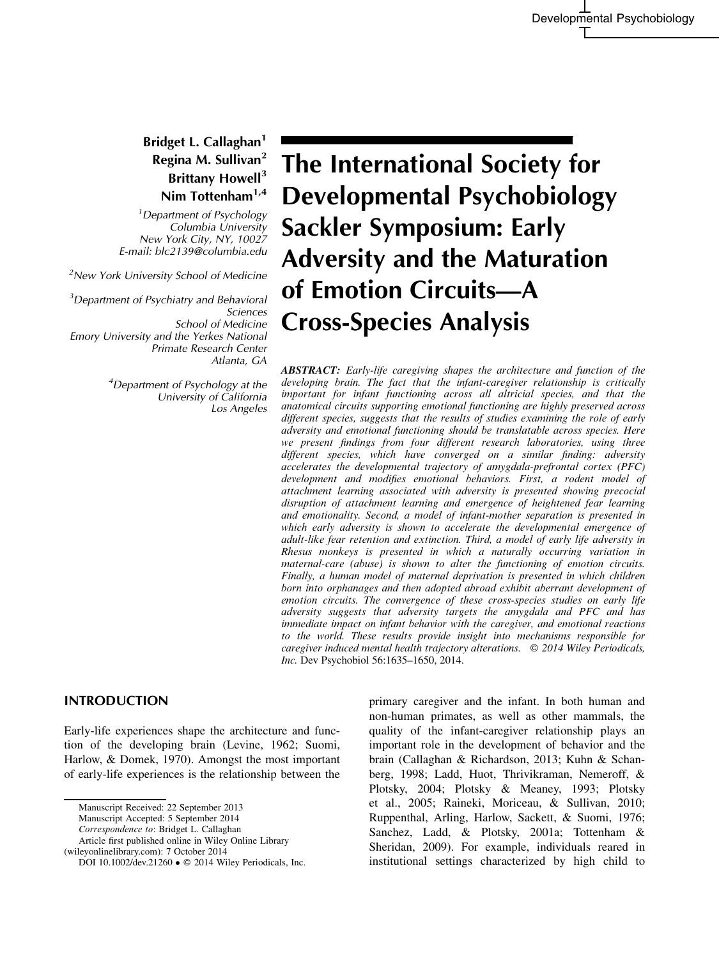### Bridget L. Callaghan<sup>1</sup> Regina M. Sullivan<sup>2</sup> Brittany Howell<sup>3</sup> Nim Tottenham $1,4$

<sup>1</sup> Department of Psychology Columbia University New York City, NY, 10027 E-mail: blc2139@columbia.edu

<sup>2</sup>New York University School of Medicine

<sup>3</sup>Department of Psychiatry and Behavioral **Sciences** School of Medicine Emory University and the Yerkes National Primate Research Center Atlanta, GA

> 4 Department of Psychology at the University of California Los Angeles

## INTRODUCTION

Early-life experiences shape the architecture and function of the developing brain (Levine, 1962; Suomi, Harlow, & Domek, 1970). Amongst the most important of early-life experiences is the relationship between the

Manuscript Accepted: 5 September 2014

Correspondence to: Bridget L. Callaghan

Article first published online in Wiley Online Library

(wileyonlinelibrary.com): 7 October 2014

# The International Society for Developmental Psychobiology Sackler Symposium: Early Adversity and the Maturation of Emotion Circuits—A Cross-Species Analysis

**ABSTRACT:** Early-life caregiving shapes the architecture and function of the developing brain. The fact that the infant-caregiver relationship is critically important for infant functioning across all altricial species, and that the anatomical circuits supporting emotional functioning are highly preserved across different species, suggests that the results of studies examining the role of early adversity and emotional functioning should be translatable across species. Here we present findings from four different research laboratories, using three different species, which have converged on a similar finding: adversity accelerates the developmental trajectory of amygdala-prefrontal cortex (PFC) development and modifies emotional behaviors. First, a rodent model of attachment learning associated with adversity is presented showing precocial disruption of attachment learning and emergence of heightened fear learning and emotionality. Second, a model of infant-mother separation is presented in which early adversity is shown to accelerate the developmental emergence of adult-like fear retention and extinction. Third, a model of early life adversity in Rhesus monkeys is presented in which a naturally occurring variation in maternal-care (abuse) is shown to alter the functioning of emotion circuits. Finally, a human model of maternal deprivation is presented in which children born into orphanages and then adopted abroad exhibit aberrant development of emotion circuits. The convergence of these cross-species studies on early life adversity suggests that adversity targets the amygdala and PFC and has immediate impact on infant behavior with the caregiver, and emotional reactions to the world. These results provide insight into mechanisms responsible for caregiver induced mental health trajectory alterations.  $\circ$  2014 Wiley Periodicals, Inc. Dev Psychobiol 56:1635–1650, 2014.

> primary caregiver and the infant. In both human and non-human primates, as well as other mammals, the quality of the infant-caregiver relationship plays an important role in the development of behavior and the brain (Callaghan & Richardson, 2013; Kuhn & Schanberg, 1998; Ladd, Huot, Thrivikraman, Nemeroff, & Plotsky, 2004; Plotsky & Meaney, 1993; Plotsky et al., 2005; Raineki, Moriceau, & Sullivan, 2010; Ruppenthal, Arling, Harlow, Sackett, & Suomi, 1976; Sanchez, Ladd, & Plotsky, 2001a; Tottenham & Sheridan, 2009). For example, individuals reared in institutional settings characterized by high child to

Manuscript Received: 22 September 2013

DOI 10.1002/dev.21260 • © 2014 Wiley Periodicals, Inc.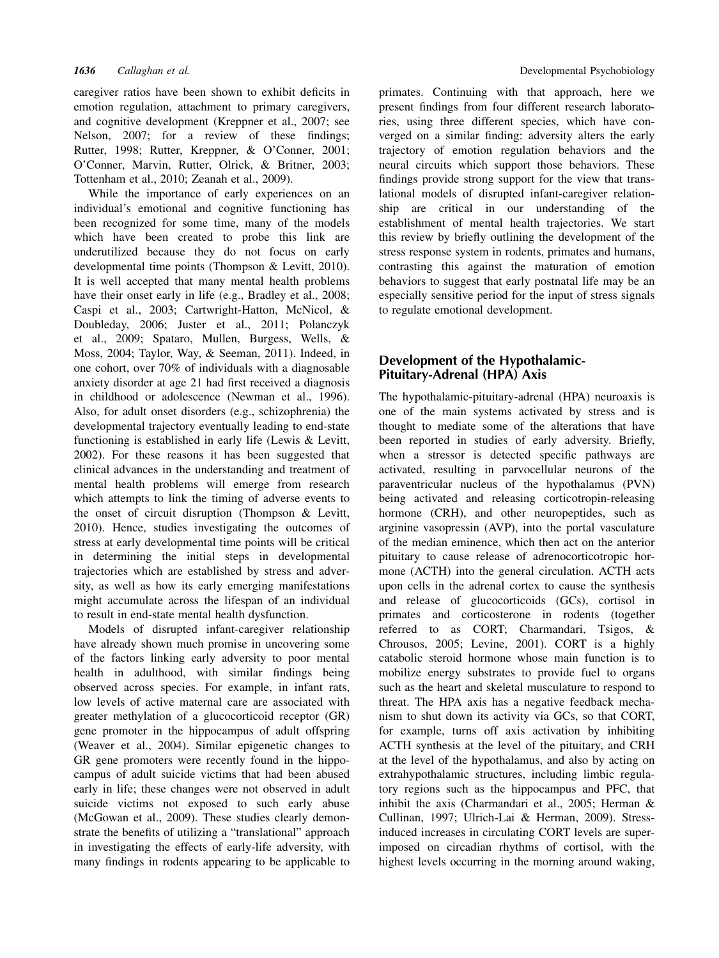caregiver ratios have been shown to exhibit deficits in emotion regulation, attachment to primary caregivers, and cognitive development (Kreppner et al., 2007; see Nelson, 2007; for a review of these findings; Rutter, 1998; Rutter, Kreppner, & O'Conner, 2001; O'Conner, Marvin, Rutter, Olrick, & Britner, 2003; Tottenham et al., 2010; Zeanah et al., 2009).

While the importance of early experiences on an individual's emotional and cognitive functioning has been recognized for some time, many of the models which have been created to probe this link are underutilized because they do not focus on early developmental time points (Thompson & Levitt, 2010). It is well accepted that many mental health problems have their onset early in life (e.g., Bradley et al., 2008; Caspi et al., 2003; Cartwright-Hatton, McNicol, & Doubleday, 2006; Juster et al., 2011; Polanczyk et al., 2009; Spataro, Mullen, Burgess, Wells, & Moss, 2004; Taylor, Way, & Seeman, 2011). Indeed, in one cohort, over 70% of individuals with a diagnosable anxiety disorder at age 21 had first received a diagnosis in childhood or adolescence (Newman et al., 1996). Also, for adult onset disorders (e.g., schizophrenia) the developmental trajectory eventually leading to end-state functioning is established in early life (Lewis & Levitt, 2002). For these reasons it has been suggested that clinical advances in the understanding and treatment of mental health problems will emerge from research which attempts to link the timing of adverse events to the onset of circuit disruption (Thompson & Levitt, 2010). Hence, studies investigating the outcomes of stress at early developmental time points will be critical in determining the initial steps in developmental trajectories which are established by stress and adversity, as well as how its early emerging manifestations might accumulate across the lifespan of an individual to result in end-state mental health dysfunction.

Models of disrupted infant-caregiver relationship have already shown much promise in uncovering some of the factors linking early adversity to poor mental health in adulthood, with similar findings being observed across species. For example, in infant rats, low levels of active maternal care are associated with greater methylation of a glucocorticoid receptor (GR) gene promoter in the hippocampus of adult offspring (Weaver et al., 2004). Similar epigenetic changes to GR gene promoters were recently found in the hippocampus of adult suicide victims that had been abused early in life; these changes were not observed in adult suicide victims not exposed to such early abuse (McGowan et al., 2009). These studies clearly demonstrate the benefits of utilizing a "translational" approach in investigating the effects of early-life adversity, with many findings in rodents appearing to be applicable to primates. Continuing with that approach, here we present findings from four different research laboratories, using three different species, which have converged on a similar finding: adversity alters the early trajectory of emotion regulation behaviors and the neural circuits which support those behaviors. These findings provide strong support for the view that translational models of disrupted infant-caregiver relationship are critical in our understanding of the establishment of mental health trajectories. We start this review by briefly outlining the development of the stress response system in rodents, primates and humans, contrasting this against the maturation of emotion behaviors to suggest that early postnatal life may be an especially sensitive period for the input of stress signals to regulate emotional development.

#### Development of the Hypothalamic-Pituitary-Adrenal (HPA) Axis

The hypothalamic-pituitary-adrenal (HPA) neuroaxis is one of the main systems activated by stress and is thought to mediate some of the alterations that have been reported in studies of early adversity. Briefly, when a stressor is detected specific pathways are activated, resulting in parvocellular neurons of the paraventricular nucleus of the hypothalamus (PVN) being activated and releasing corticotropin-releasing hormone (CRH), and other neuropeptides, such as arginine vasopressin (AVP), into the portal vasculature of the median eminence, which then act on the anterior pituitary to cause release of adrenocorticotropic hormone (ACTH) into the general circulation. ACTH acts upon cells in the adrenal cortex to cause the synthesis and release of glucocorticoids (GCs), cortisol in primates and corticosterone in rodents (together referred to as CORT; Charmandari, Tsigos, & Chrousos, 2005; Levine, 2001). CORT is a highly catabolic steroid hormone whose main function is to mobilize energy substrates to provide fuel to organs such as the heart and skeletal musculature to respond to threat. The HPA axis has a negative feedback mechanism to shut down its activity via GCs, so that CORT, for example, turns off axis activation by inhibiting ACTH synthesis at the level of the pituitary, and CRH at the level of the hypothalamus, and also by acting on extrahypothalamic structures, including limbic regulatory regions such as the hippocampus and PFC, that inhibit the axis (Charmandari et al., 2005; Herman & Cullinan, 1997; Ulrich-Lai & Herman, 2009). Stressinduced increases in circulating CORT levels are superimposed on circadian rhythms of cortisol, with the highest levels occurring in the morning around waking,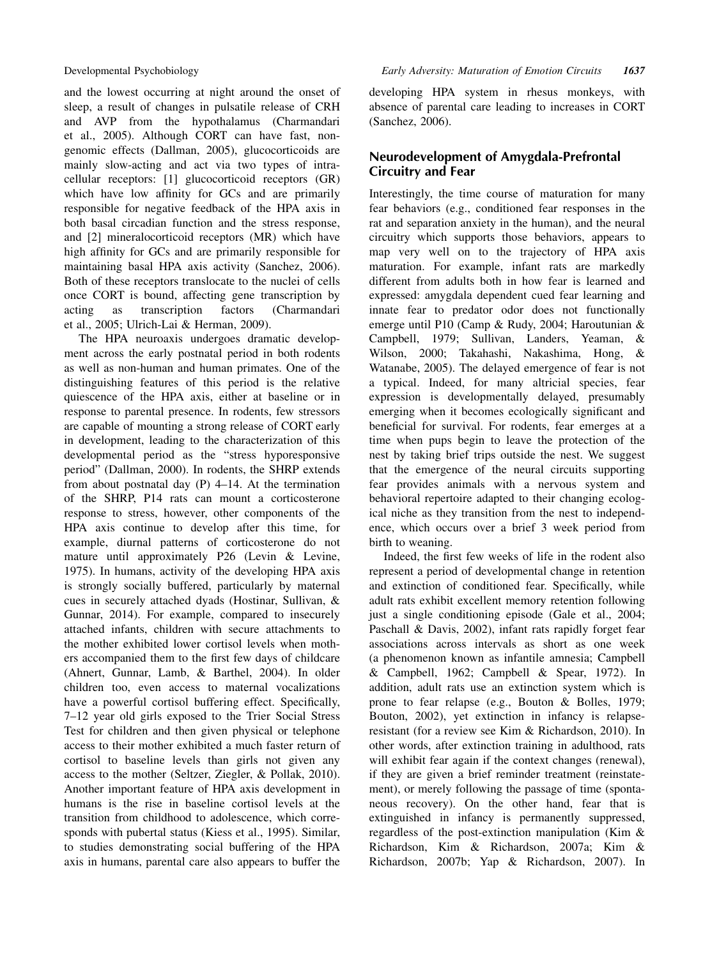and the lowest occurring at night around the onset of sleep, a result of changes in pulsatile release of CRH and AVP from the hypothalamus (Charmandari et al., 2005). Although CORT can have fast, nongenomic effects (Dallman, 2005), glucocorticoids are mainly slow-acting and act via two types of intracellular receptors: [1] glucocorticoid receptors (GR) which have low affinity for GCs and are primarily responsible for negative feedback of the HPA axis in both basal circadian function and the stress response, and [2] mineralocorticoid receptors (MR) which have high affinity for GCs and are primarily responsible for maintaining basal HPA axis activity (Sanchez, 2006). Both of these receptors translocate to the nuclei of cells once CORT is bound, affecting gene transcription by acting as transcription factors (Charmandari et al., 2005; Ulrich-Lai & Herman, 2009).

The HPA neuroaxis undergoes dramatic development across the early postnatal period in both rodents as well as non-human and human primates. One of the distinguishing features of this period is the relative quiescence of the HPA axis, either at baseline or in response to parental presence. In rodents, few stressors are capable of mounting a strong release of CORT early in development, leading to the characterization of this developmental period as the "stress hyporesponsive period" (Dallman, 2000). In rodents, the SHRP extends from about postnatal day (P) 4–14. At the termination of the SHRP, P14 rats can mount a corticosterone response to stress, however, other components of the HPA axis continue to develop after this time, for example, diurnal patterns of corticosterone do not mature until approximately P26 (Levin & Levine, 1975). In humans, activity of the developing HPA axis is strongly socially buffered, particularly by maternal cues in securely attached dyads (Hostinar, Sullivan, & Gunnar, 2014). For example, compared to insecurely attached infants, children with secure attachments to the mother exhibited lower cortisol levels when mothers accompanied them to the first few days of childcare (Ahnert, Gunnar, Lamb, & Barthel, 2004). In older children too, even access to maternal vocalizations have a powerful cortisol buffering effect. Specifically, 7–12 year old girls exposed to the Trier Social Stress Test for children and then given physical or telephone access to their mother exhibited a much faster return of cortisol to baseline levels than girls not given any access to the mother (Seltzer, Ziegler, & Pollak, 2010). Another important feature of HPA axis development in humans is the rise in baseline cortisol levels at the transition from childhood to adolescence, which corresponds with pubertal status (Kiess et al., 1995). Similar, to studies demonstrating social buffering of the HPA axis in humans, parental care also appears to buffer the developing HPA system in rhesus monkeys, with absence of parental care leading to increases in CORT (Sanchez, 2006).

#### Neurodevelopment of Amygdala-Prefrontal Circuitry and Fear

Interestingly, the time course of maturation for many fear behaviors (e.g., conditioned fear responses in the rat and separation anxiety in the human), and the neural circuitry which supports those behaviors, appears to map very well on to the trajectory of HPA axis maturation. For example, infant rats are markedly different from adults both in how fear is learned and expressed: amygdala dependent cued fear learning and innate fear to predator odor does not functionally emerge until P10 (Camp & Rudy, 2004; Haroutunian & Campbell, 1979; Sullivan, Landers, Yeaman, & Wilson, 2000; Takahashi, Nakashima, Hong, & Watanabe, 2005). The delayed emergence of fear is not a typical. Indeed, for many altricial species, fear expression is developmentally delayed, presumably emerging when it becomes ecologically significant and beneficial for survival. For rodents, fear emerges at a time when pups begin to leave the protection of the nest by taking brief trips outside the nest. We suggest that the emergence of the neural circuits supporting fear provides animals with a nervous system and behavioral repertoire adapted to their changing ecological niche as they transition from the nest to independence, which occurs over a brief 3 week period from birth to weaning.

Indeed, the first few weeks of life in the rodent also represent a period of developmental change in retention and extinction of conditioned fear. Specifically, while adult rats exhibit excellent memory retention following just a single conditioning episode (Gale et al., 2004; Paschall & Davis, 2002), infant rats rapidly forget fear associations across intervals as short as one week (a phenomenon known as infantile amnesia; Campbell & Campbell, 1962; Campbell & Spear, 1972). In addition, adult rats use an extinction system which is prone to fear relapse (e.g., Bouton & Bolles, 1979; Bouton, 2002), yet extinction in infancy is relapseresistant (for a review see Kim & Richardson, 2010). In other words, after extinction training in adulthood, rats will exhibit fear again if the context changes (renewal), if they are given a brief reminder treatment (reinstatement), or merely following the passage of time (spontaneous recovery). On the other hand, fear that is extinguished in infancy is permanently suppressed, regardless of the post-extinction manipulation (Kim & Richardson, Kim & Richardson, 2007a; Kim & Richardson, 2007b; Yap & Richardson, 2007). In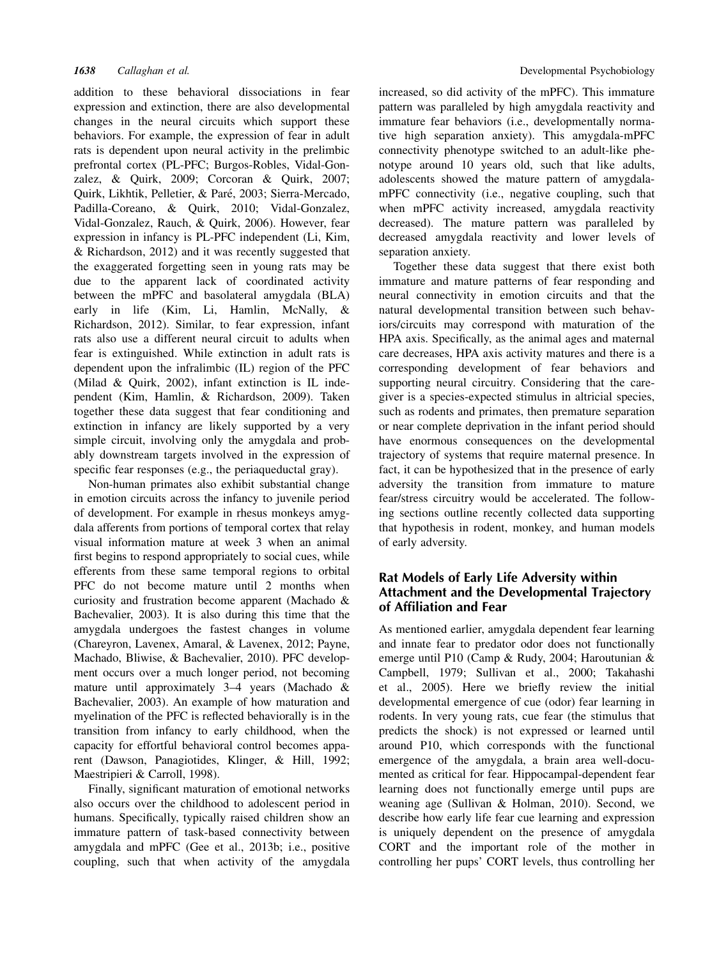addition to these behavioral dissociations in fear expression and extinction, there are also developmental changes in the neural circuits which support these behaviors. For example, the expression of fear in adult rats is dependent upon neural activity in the prelimbic prefrontal cortex (PL-PFC; Burgos-Robles, Vidal-Gonzalez, & Quirk, 2009; Corcoran & Quirk, 2007; Quirk, Likhtik, Pelletier, & Paré, 2003; Sierra-Mercado, Padilla-Coreano, & Quirk, 2010; Vidal-Gonzalez, Vidal-Gonzalez, Rauch, & Quirk, 2006). However, fear expression in infancy is PL-PFC independent (Li, Kim, & Richardson, 2012) and it was recently suggested that the exaggerated forgetting seen in young rats may be due to the apparent lack of coordinated activity between the mPFC and basolateral amygdala (BLA) early in life (Kim, Li, Hamlin, McNally, & Richardson, 2012). Similar, to fear expression, infant rats also use a different neural circuit to adults when fear is extinguished. While extinction in adult rats is dependent upon the infralimbic (IL) region of the PFC (Milad & Quirk, 2002), infant extinction is IL independent (Kim, Hamlin, & Richardson, 2009). Taken together these data suggest that fear conditioning and extinction in infancy are likely supported by a very simple circuit, involving only the amygdala and probably downstream targets involved in the expression of specific fear responses (e.g., the periaqueductal gray).

Non-human primates also exhibit substantial change in emotion circuits across the infancy to juvenile period of development. For example in rhesus monkeys amygdala afferents from portions of temporal cortex that relay visual information mature at week 3 when an animal first begins to respond appropriately to social cues, while efferents from these same temporal regions to orbital PFC do not become mature until 2 months when curiosity and frustration become apparent (Machado & Bachevalier, 2003). It is also during this time that the amygdala undergoes the fastest changes in volume (Chareyron, Lavenex, Amaral, & Lavenex, 2012; Payne, Machado, Bliwise, & Bachevalier, 2010). PFC development occurs over a much longer period, not becoming mature until approximately 3–4 years (Machado & Bachevalier, 2003). An example of how maturation and myelination of the PFC is reflected behaviorally is in the transition from infancy to early childhood, when the capacity for effortful behavioral control becomes apparent (Dawson, Panagiotides, Klinger, & Hill, 1992; Maestripieri & Carroll, 1998).

Finally, significant maturation of emotional networks also occurs over the childhood to adolescent period in humans. Specifically, typically raised children show an immature pattern of task-based connectivity between amygdala and mPFC (Gee et al., 2013b; i.e., positive coupling, such that when activity of the amygdala

increased, so did activity of the mPFC). This immature pattern was paralleled by high amygdala reactivity and immature fear behaviors (i.e., developmentally normative high separation anxiety). This amygdala-mPFC connectivity phenotype switched to an adult-like phenotype around 10 years old, such that like adults, adolescents showed the mature pattern of amygdalamPFC connectivity (i.e., negative coupling, such that when mPFC activity increased, amygdala reactivity decreased). The mature pattern was paralleled by decreased amygdala reactivity and lower levels of separation anxiety.

Together these data suggest that there exist both immature and mature patterns of fear responding and neural connectivity in emotion circuits and that the natural developmental transition between such behaviors/circuits may correspond with maturation of the HPA axis. Specifically, as the animal ages and maternal care decreases, HPA axis activity matures and there is a corresponding development of fear behaviors and supporting neural circuitry. Considering that the caregiver is a species-expected stimulus in altricial species, such as rodents and primates, then premature separation or near complete deprivation in the infant period should have enormous consequences on the developmental trajectory of systems that require maternal presence. In fact, it can be hypothesized that in the presence of early adversity the transition from immature to mature fear/stress circuitry would be accelerated. The following sections outline recently collected data supporting that hypothesis in rodent, monkey, and human models of early adversity.

#### Rat Models of Early Life Adversity within Attachment and the Developmental Trajectory of Affiliation and Fear

As mentioned earlier, amygdala dependent fear learning and innate fear to predator odor does not functionally emerge until P10 (Camp & Rudy, 2004; Haroutunian & Campbell, 1979; Sullivan et al., 2000; Takahashi et al., 2005). Here we briefly review the initial developmental emergence of cue (odor) fear learning in rodents. In very young rats, cue fear (the stimulus that predicts the shock) is not expressed or learned until around P10, which corresponds with the functional emergence of the amygdala, a brain area well-documented as critical for fear. Hippocampal-dependent fear learning does not functionally emerge until pups are weaning age (Sullivan & Holman, 2010). Second, we describe how early life fear cue learning and expression is uniquely dependent on the presence of amygdala CORT and the important role of the mother in controlling her pups' CORT levels, thus controlling her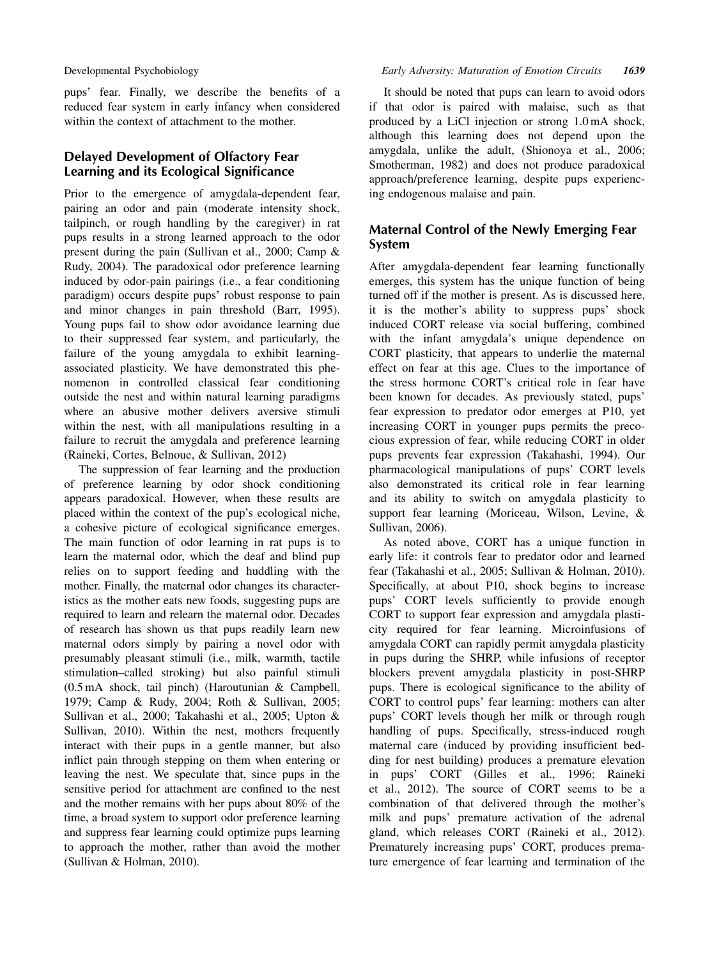pups' fear. Finally, we describe the benefits of a reduced fear system in early infancy when considered within the context of attachment to the mother.

#### Delayed Development of Olfactory Fear Learning and its Ecological Significance

Prior to the emergence of amygdala-dependent fear, pairing an odor and pain (moderate intensity shock, tailpinch, or rough handling by the caregiver) in rat pups results in a strong learned approach to the odor present during the pain (Sullivan et al., 2000; Camp & Rudy, 2004). The paradoxical odor preference learning induced by odor-pain pairings (i.e., a fear conditioning paradigm) occurs despite pups' robust response to pain and minor changes in pain threshold (Barr, 1995). Young pups fail to show odor avoidance learning due to their suppressed fear system, and particularly, the failure of the young amygdala to exhibit learningassociated plasticity. We have demonstrated this phenomenon in controlled classical fear conditioning outside the nest and within natural learning paradigms where an abusive mother delivers aversive stimuli within the nest, with all manipulations resulting in a failure to recruit the amygdala and preference learning (Raineki, Cortes, Belnoue, & Sullivan, 2012)

The suppression of fear learning and the production of preference learning by odor shock conditioning appears paradoxical. However, when these results are placed within the context of the pup's ecological niche, a cohesive picture of ecological significance emerges. The main function of odor learning in rat pups is to learn the maternal odor, which the deaf and blind pup relies on to support feeding and huddling with the mother. Finally, the maternal odor changes its characteristics as the mother eats new foods, suggesting pups are required to learn and relearn the maternal odor. Decades of research has shown us that pups readily learn new maternal odors simply by pairing a novel odor with presumably pleasant stimuli (i.e., milk, warmth, tactile stimulation–called stroking) but also painful stimuli (0.5 mA shock, tail pinch) (Haroutunian & Campbell, 1979; Camp & Rudy, 2004; Roth & Sullivan, 2005; Sullivan et al., 2000; Takahashi et al., 2005; Upton & Sullivan, 2010). Within the nest, mothers frequently interact with their pups in a gentle manner, but also inflict pain through stepping on them when entering or leaving the nest. We speculate that, since pups in the sensitive period for attachment are confined to the nest and the mother remains with her pups about 80% of the time, a broad system to support odor preference learning and suppress fear learning could optimize pups learning to approach the mother, rather than avoid the mother (Sullivan & Holman, 2010).

It should be noted that pups can learn to avoid odors if that odor is paired with malaise, such as that produced by a LiCl injection or strong 1.0 mA shock, although this learning does not depend upon the amygdala, unlike the adult, (Shionoya et al., 2006; Smotherman, 1982) and does not produce paradoxical approach/preference learning, despite pups experiencing endogenous malaise and pain.

#### Maternal Control of the Newly Emerging Fear System

After amygdala-dependent fear learning functionally emerges, this system has the unique function of being turned off if the mother is present. As is discussed here, it is the mother's ability to suppress pups' shock induced CORT release via social buffering, combined with the infant amygdala's unique dependence on CORT plasticity, that appears to underlie the maternal effect on fear at this age. Clues to the importance of the stress hormone CORT's critical role in fear have been known for decades. As previously stated, pups' fear expression to predator odor emerges at P10, yet increasing CORT in younger pups permits the precocious expression of fear, while reducing CORT in older pups prevents fear expression (Takahashi, 1994). Our pharmacological manipulations of pups' CORT levels also demonstrated its critical role in fear learning and its ability to switch on amygdala plasticity to support fear learning (Moriceau, Wilson, Levine, & Sullivan, 2006).

As noted above, CORT has a unique function in early life: it controls fear to predator odor and learned fear (Takahashi et al., 2005; Sullivan & Holman, 2010). Specifically, at about P10, shock begins to increase pups' CORT levels sufficiently to provide enough CORT to support fear expression and amygdala plasticity required for fear learning. Microinfusions of amygdala CORT can rapidly permit amygdala plasticity in pups during the SHRP, while infusions of receptor blockers prevent amygdala plasticity in post-SHRP pups. There is ecological significance to the ability of CORT to control pups' fear learning: mothers can alter pups' CORT levels though her milk or through rough handling of pups. Specifically, stress-induced rough maternal care (induced by providing insufficient bedding for nest building) produces a premature elevation in pups' CORT (Gilles et al., 1996; Raineki et al., 2012). The source of CORT seems to be a combination of that delivered through the mother's milk and pups' premature activation of the adrenal gland, which releases CORT (Raineki et al., 2012). Prematurely increasing pups' CORT, produces premature emergence of fear learning and termination of the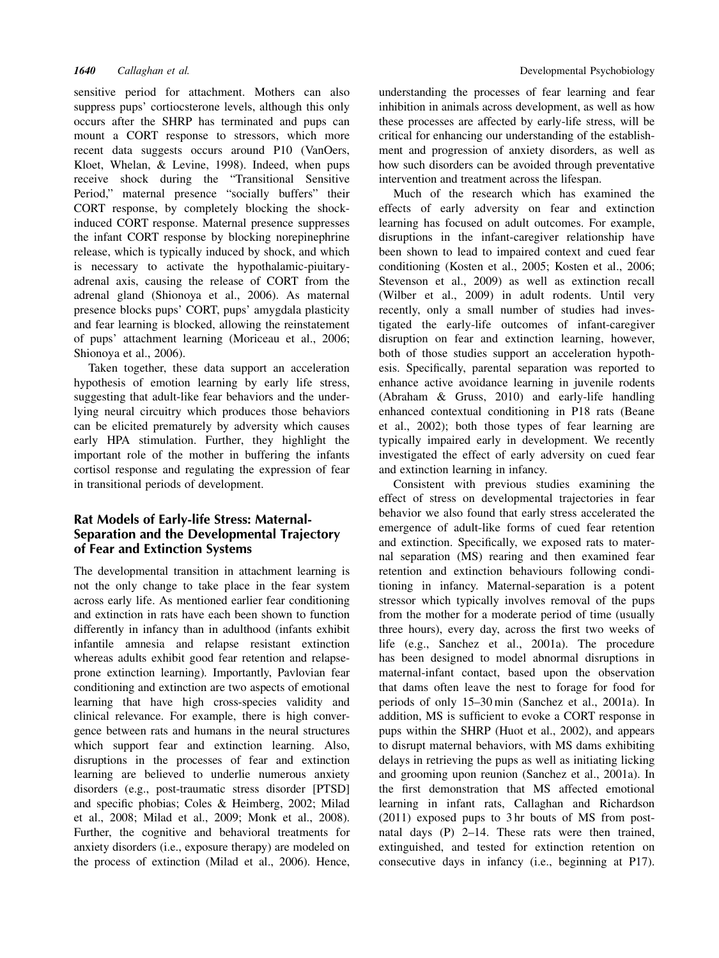sensitive period for attachment. Mothers can also suppress pups' cortiocsterone levels, although this only occurs after the SHRP has terminated and pups can mount a CORT response to stressors, which more recent data suggests occurs around P10 (VanOers, Kloet, Whelan, & Levine, 1998). Indeed, when pups receive shock during the "Transitional Sensitive Period," maternal presence "socially buffers" their CORT response, by completely blocking the shockinduced CORT response. Maternal presence suppresses the infant CORT response by blocking norepinephrine release, which is typically induced by shock, and which is necessary to activate the hypothalamic-piuitaryadrenal axis, causing the release of CORT from the adrenal gland (Shionoya et al., 2006). As maternal presence blocks pups' CORT, pups' amygdala plasticity and fear learning is blocked, allowing the reinstatement of pups' attachment learning (Moriceau et al., 2006; Shionoya et al., 2006).

Taken together, these data support an acceleration hypothesis of emotion learning by early life stress, suggesting that adult-like fear behaviors and the underlying neural circuitry which produces those behaviors can be elicited prematurely by adversity which causes early HPA stimulation. Further, they highlight the important role of the mother in buffering the infants cortisol response and regulating the expression of fear in transitional periods of development.

#### Rat Models of Early-life Stress: Maternal-Separation and the Developmental Trajectory of Fear and Extinction Systems

The developmental transition in attachment learning is not the only change to take place in the fear system across early life. As mentioned earlier fear conditioning and extinction in rats have each been shown to function differently in infancy than in adulthood (infants exhibit infantile amnesia and relapse resistant extinction whereas adults exhibit good fear retention and relapseprone extinction learning). Importantly, Pavlovian fear conditioning and extinction are two aspects of emotional learning that have high cross-species validity and clinical relevance. For example, there is high convergence between rats and humans in the neural structures which support fear and extinction learning. Also, disruptions in the processes of fear and extinction learning are believed to underlie numerous anxiety disorders (e.g., post-traumatic stress disorder [PTSD] and specific phobias; Coles & Heimberg, 2002; Milad et al., 2008; Milad et al., 2009; Monk et al., 2008). Further, the cognitive and behavioral treatments for anxiety disorders (i.e., exposure therapy) are modeled on the process of extinction (Milad et al., 2006). Hence,

understanding the processes of fear learning and fear inhibition in animals across development, as well as how these processes are affected by early-life stress, will be critical for enhancing our understanding of the establishment and progression of anxiety disorders, as well as how such disorders can be avoided through preventative intervention and treatment across the lifespan.

Much of the research which has examined the effects of early adversity on fear and extinction learning has focused on adult outcomes. For example, disruptions in the infant-caregiver relationship have been shown to lead to impaired context and cued fear conditioning (Kosten et al., 2005; Kosten et al., 2006; Stevenson et al., 2009) as well as extinction recall (Wilber et al., 2009) in adult rodents. Until very recently, only a small number of studies had investigated the early-life outcomes of infant-caregiver disruption on fear and extinction learning, however, both of those studies support an acceleration hypothesis. Specifically, parental separation was reported to enhance active avoidance learning in juvenile rodents (Abraham & Gruss, 2010) and early-life handling enhanced contextual conditioning in P18 rats (Beane et al., 2002); both those types of fear learning are typically impaired early in development. We recently investigated the effect of early adversity on cued fear and extinction learning in infancy.

Consistent with previous studies examining the effect of stress on developmental trajectories in fear behavior we also found that early stress accelerated the emergence of adult-like forms of cued fear retention and extinction. Specifically, we exposed rats to maternal separation (MS) rearing and then examined fear retention and extinction behaviours following conditioning in infancy. Maternal-separation is a potent stressor which typically involves removal of the pups from the mother for a moderate period of time (usually three hours), every day, across the first two weeks of life (e.g., Sanchez et al., 2001a). The procedure has been designed to model abnormal disruptions in maternal-infant contact, based upon the observation that dams often leave the nest to forage for food for periods of only 15–30 min (Sanchez et al., 2001a). In addition, MS is sufficient to evoke a CORT response in pups within the SHRP (Huot et al., 2002), and appears to disrupt maternal behaviors, with MS dams exhibiting delays in retrieving the pups as well as initiating licking and grooming upon reunion (Sanchez et al., 2001a). In the first demonstration that MS affected emotional learning in infant rats, Callaghan and Richardson (2011) exposed pups to 3 hr bouts of MS from postnatal days (P) 2–14. These rats were then trained, extinguished, and tested for extinction retention on consecutive days in infancy (i.e., beginning at P17).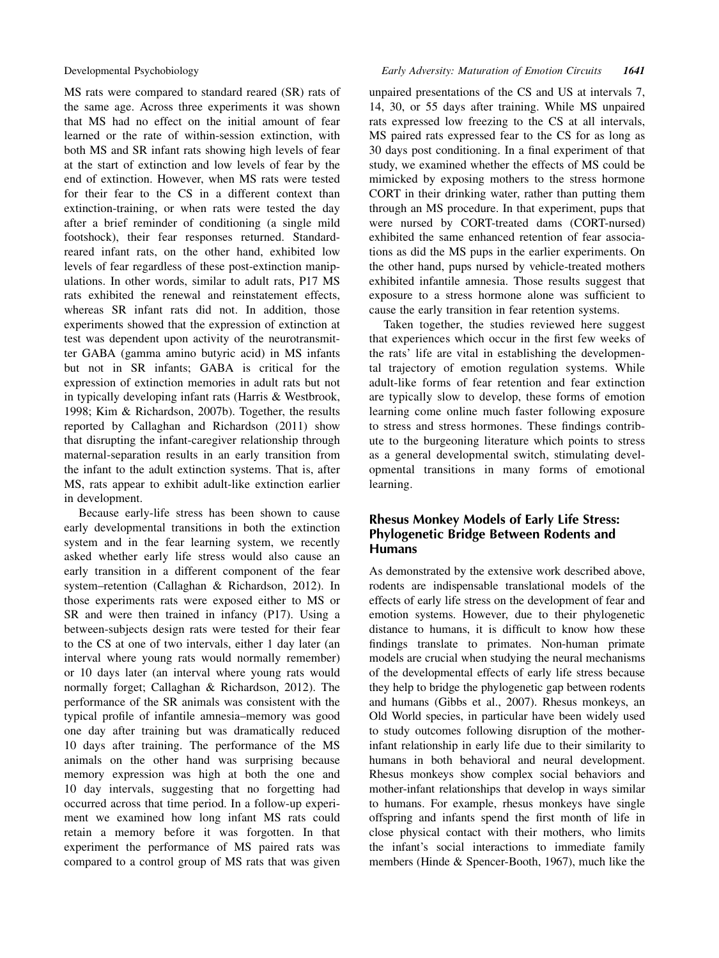MS rats were compared to standard reared (SR) rats of the same age. Across three experiments it was shown that MS had no effect on the initial amount of fear learned or the rate of within-session extinction, with both MS and SR infant rats showing high levels of fear at the start of extinction and low levels of fear by the end of extinction. However, when MS rats were tested for their fear to the CS in a different context than extinction-training, or when rats were tested the day after a brief reminder of conditioning (a single mild footshock), their fear responses returned. Standardreared infant rats, on the other hand, exhibited low levels of fear regardless of these post-extinction manipulations. In other words, similar to adult rats, P17 MS rats exhibited the renewal and reinstatement effects, whereas SR infant rats did not. In addition, those experiments showed that the expression of extinction at test was dependent upon activity of the neurotransmitter GABA (gamma amino butyric acid) in MS infants but not in SR infants; GABA is critical for the expression of extinction memories in adult rats but not in typically developing infant rats (Harris & Westbrook, 1998; Kim & Richardson, 2007b). Together, the results reported by Callaghan and Richardson (2011) show that disrupting the infant-caregiver relationship through maternal-separation results in an early transition from the infant to the adult extinction systems. That is, after MS, rats appear to exhibit adult-like extinction earlier in development.

Because early-life stress has been shown to cause early developmental transitions in both the extinction system and in the fear learning system, we recently asked whether early life stress would also cause an early transition in a different component of the fear system–retention (Callaghan & Richardson, 2012). In those experiments rats were exposed either to MS or SR and were then trained in infancy (P17). Using a between-subjects design rats were tested for their fear to the CS at one of two intervals, either 1 day later (an interval where young rats would normally remember) or 10 days later (an interval where young rats would normally forget; Callaghan & Richardson, 2012). The performance of the SR animals was consistent with the typical profile of infantile amnesia–memory was good one day after training but was dramatically reduced 10 days after training. The performance of the MS animals on the other hand was surprising because memory expression was high at both the one and 10 day intervals, suggesting that no forgetting had occurred across that time period. In a follow-up experiment we examined how long infant MS rats could retain a memory before it was forgotten. In that experiment the performance of MS paired rats was compared to a control group of MS rats that was given

#### Developmental Psychobiology **Early Adversity: Maturation of Emotion Circuits** 1641

unpaired presentations of the CS and US at intervals 7, 14, 30, or 55 days after training. While MS unpaired rats expressed low freezing to the CS at all intervals, MS paired rats expressed fear to the CS for as long as 30 days post conditioning. In a final experiment of that study, we examined whether the effects of MS could be mimicked by exposing mothers to the stress hormone CORT in their drinking water, rather than putting them through an MS procedure. In that experiment, pups that were nursed by CORT-treated dams (CORT-nursed) exhibited the same enhanced retention of fear associations as did the MS pups in the earlier experiments. On the other hand, pups nursed by vehicle-treated mothers exhibited infantile amnesia. Those results suggest that exposure to a stress hormone alone was sufficient to cause the early transition in fear retention systems.

Taken together, the studies reviewed here suggest that experiences which occur in the first few weeks of the rats' life are vital in establishing the developmental trajectory of emotion regulation systems. While adult-like forms of fear retention and fear extinction are typically slow to develop, these forms of emotion learning come online much faster following exposure to stress and stress hormones. These findings contribute to the burgeoning literature which points to stress as a general developmental switch, stimulating developmental transitions in many forms of emotional learning.

#### Rhesus Monkey Models of Early Life Stress: Phylogenetic Bridge Between Rodents and Humans

As demonstrated by the extensive work described above, rodents are indispensable translational models of the effects of early life stress on the development of fear and emotion systems. However, due to their phylogenetic distance to humans, it is difficult to know how these findings translate to primates. Non-human primate models are crucial when studying the neural mechanisms of the developmental effects of early life stress because they help to bridge the phylogenetic gap between rodents and humans (Gibbs et al., 2007). Rhesus monkeys, an Old World species, in particular have been widely used to study outcomes following disruption of the motherinfant relationship in early life due to their similarity to humans in both behavioral and neural development. Rhesus monkeys show complex social behaviors and mother-infant relationships that develop in ways similar to humans. For example, rhesus monkeys have single offspring and infants spend the first month of life in close physical contact with their mothers, who limits the infant's social interactions to immediate family members (Hinde & Spencer-Booth, 1967), much like the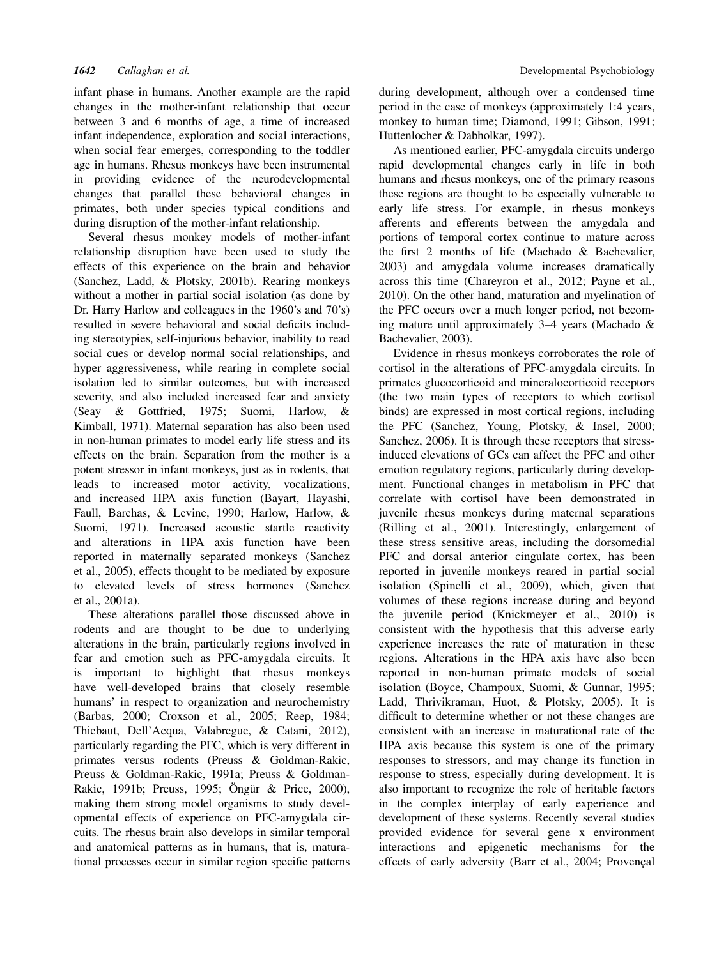infant phase in humans. Another example are the rapid changes in the mother-infant relationship that occur between 3 and 6 months of age, a time of increased infant independence, exploration and social interactions, when social fear emerges, corresponding to the toddler age in humans. Rhesus monkeys have been instrumental in providing evidence of the neurodevelopmental changes that parallel these behavioral changes in primates, both under species typical conditions and during disruption of the mother-infant relationship.

Several rhesus monkey models of mother-infant relationship disruption have been used to study the effects of this experience on the brain and behavior (Sanchez, Ladd, & Plotsky, 2001b). Rearing monkeys without a mother in partial social isolation (as done by Dr. Harry Harlow and colleagues in the 1960's and 70's) resulted in severe behavioral and social deficits including stereotypies, self-injurious behavior, inability to read social cues or develop normal social relationships, and hyper aggressiveness, while rearing in complete social isolation led to similar outcomes, but with increased severity, and also included increased fear and anxiety (Seay & Gottfried, 1975; Suomi, Harlow, & Kimball, 1971). Maternal separation has also been used in non-human primates to model early life stress and its effects on the brain. Separation from the mother is a potent stressor in infant monkeys, just as in rodents, that leads to increased motor activity, vocalizations, and increased HPA axis function (Bayart, Hayashi, Faull, Barchas, & Levine, 1990; Harlow, Harlow, & Suomi, 1971). Increased acoustic startle reactivity and alterations in HPA axis function have been reported in maternally separated monkeys (Sanchez et al., 2005), effects thought to be mediated by exposure to elevated levels of stress hormones (Sanchez et al., 2001a).

These alterations parallel those discussed above in rodents and are thought to be due to underlying alterations in the brain, particularly regions involved in fear and emotion such as PFC-amygdala circuits. It is important to highlight that rhesus monkeys have well-developed brains that closely resemble humans' in respect to organization and neurochemistry (Barbas, 2000; Croxson et al., 2005; Reep, 1984; Thiebaut, Dell'Acqua, Valabregue, & Catani, 2012), particularly regarding the PFC, which is very different in primates versus rodents (Preuss & Goldman-Rakic, Preuss & Goldman-Rakic, 1991a; Preuss & Goldman-Rakic, 1991b; Preuss, 1995; Öngür & Price, 2000), making them strong model organisms to study developmental effects of experience on PFC-amygdala circuits. The rhesus brain also develops in similar temporal and anatomical patterns as in humans, that is, maturational processes occur in similar region specific patterns during development, although over a condensed time period in the case of monkeys (approximately 1:4 years, monkey to human time; Diamond, 1991; Gibson, 1991; Huttenlocher & Dabholkar, 1997).

As mentioned earlier, PFC-amygdala circuits undergo rapid developmental changes early in life in both humans and rhesus monkeys, one of the primary reasons these regions are thought to be especially vulnerable to early life stress. For example, in rhesus monkeys afferents and efferents between the amygdala and portions of temporal cortex continue to mature across the first 2 months of life (Machado & Bachevalier, 2003) and amygdala volume increases dramatically across this time (Chareyron et al., 2012; Payne et al., 2010). On the other hand, maturation and myelination of the PFC occurs over a much longer period, not becoming mature until approximately 3–4 years (Machado & Bachevalier, 2003).

Evidence in rhesus monkeys corroborates the role of cortisol in the alterations of PFC-amygdala circuits. In primates glucocorticoid and mineralocorticoid receptors (the two main types of receptors to which cortisol binds) are expressed in most cortical regions, including the PFC (Sanchez, Young, Plotsky, & Insel, 2000; Sanchez, 2006). It is through these receptors that stressinduced elevations of GCs can affect the PFC and other emotion regulatory regions, particularly during development. Functional changes in metabolism in PFC that correlate with cortisol have been demonstrated in juvenile rhesus monkeys during maternal separations (Rilling et al., 2001). Interestingly, enlargement of these stress sensitive areas, including the dorsomedial PFC and dorsal anterior cingulate cortex, has been reported in juvenile monkeys reared in partial social isolation (Spinelli et al., 2009), which, given that volumes of these regions increase during and beyond the juvenile period (Knickmeyer et al., 2010) is consistent with the hypothesis that this adverse early experience increases the rate of maturation in these regions. Alterations in the HPA axis have also been reported in non-human primate models of social isolation (Boyce, Champoux, Suomi, & Gunnar, 1995; Ladd, Thrivikraman, Huot, & Plotsky, 2005). It is difficult to determine whether or not these changes are consistent with an increase in maturational rate of the HPA axis because this system is one of the primary responses to stressors, and may change its function in response to stress, especially during development. It is also important to recognize the role of heritable factors in the complex interplay of early experience and development of these systems. Recently several studies provided evidence for several gene x environment interactions and epigenetic mechanisms for the effects of early adversity (Barr et al., 2004; Provençal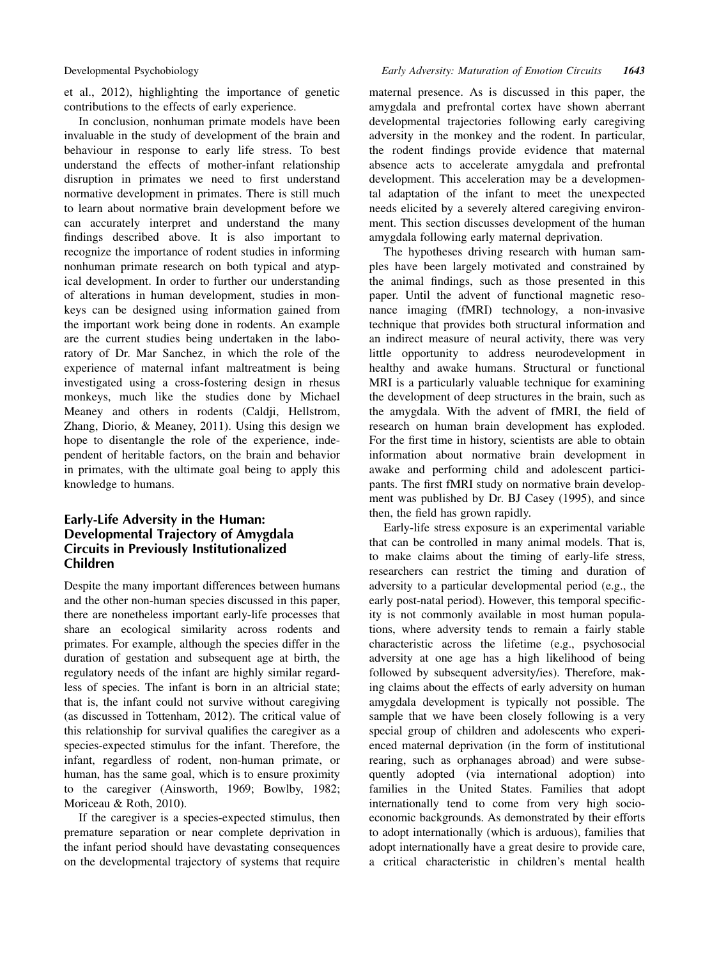et al., 2012), highlighting the importance of genetic contributions to the effects of early experience.

In conclusion, nonhuman primate models have been invaluable in the study of development of the brain and behaviour in response to early life stress. To best understand the effects of mother-infant relationship disruption in primates we need to first understand normative development in primates. There is still much to learn about normative brain development before we can accurately interpret and understand the many findings described above. It is also important to recognize the importance of rodent studies in informing nonhuman primate research on both typical and atypical development. In order to further our understanding of alterations in human development, studies in monkeys can be designed using information gained from the important work being done in rodents. An example are the current studies being undertaken in the laboratory of Dr. Mar Sanchez, in which the role of the experience of maternal infant maltreatment is being investigated using a cross-fostering design in rhesus monkeys, much like the studies done by Michael Meaney and others in rodents (Caldji, Hellstrom, Zhang, Diorio, & Meaney, 2011). Using this design we hope to disentangle the role of the experience, independent of heritable factors, on the brain and behavior in primates, with the ultimate goal being to apply this knowledge to humans.

#### Early-Life Adversity in the Human: Developmental Trajectory of Amygdala Circuits in Previously Institutionalized Children

Despite the many important differences between humans and the other non-human species discussed in this paper, there are nonetheless important early-life processes that share an ecological similarity across rodents and primates. For example, although the species differ in the duration of gestation and subsequent age at birth, the regulatory needs of the infant are highly similar regardless of species. The infant is born in an altricial state; that is, the infant could not survive without caregiving (as discussed in Tottenham, 2012). The critical value of this relationship for survival qualifies the caregiver as a species-expected stimulus for the infant. Therefore, the infant, regardless of rodent, non-human primate, or human, has the same goal, which is to ensure proximity to the caregiver (Ainsworth, 1969; Bowlby, 1982; Moriceau & Roth, 2010).

If the caregiver is a species-expected stimulus, then premature separation or near complete deprivation in the infant period should have devastating consequences on the developmental trajectory of systems that require maternal presence. As is discussed in this paper, the amygdala and prefrontal cortex have shown aberrant developmental trajectories following early caregiving adversity in the monkey and the rodent. In particular, the rodent findings provide evidence that maternal absence acts to accelerate amygdala and prefrontal development. This acceleration may be a developmental adaptation of the infant to meet the unexpected needs elicited by a severely altered caregiving environment. This section discusses development of the human amygdala following early maternal deprivation.

The hypotheses driving research with human samples have been largely motivated and constrained by the animal findings, such as those presented in this paper. Until the advent of functional magnetic resonance imaging (fMRI) technology, a non-invasive technique that provides both structural information and an indirect measure of neural activity, there was very little opportunity to address neurodevelopment in healthy and awake humans. Structural or functional MRI is a particularly valuable technique for examining the development of deep structures in the brain, such as the amygdala. With the advent of fMRI, the field of research on human brain development has exploded. For the first time in history, scientists are able to obtain information about normative brain development in awake and performing child and adolescent participants. The first fMRI study on normative brain development was published by Dr. BJ Casey (1995), and since then, the field has grown rapidly.

Early-life stress exposure is an experimental variable that can be controlled in many animal models. That is, to make claims about the timing of early-life stress, researchers can restrict the timing and duration of adversity to a particular developmental period (e.g., the early post-natal period). However, this temporal specificity is not commonly available in most human populations, where adversity tends to remain a fairly stable characteristic across the lifetime (e.g., psychosocial adversity at one age has a high likelihood of being followed by subsequent adversity/ies). Therefore, making claims about the effects of early adversity on human amygdala development is typically not possible. The sample that we have been closely following is a very special group of children and adolescents who experienced maternal deprivation (in the form of institutional rearing, such as orphanages abroad) and were subsequently adopted (via international adoption) into families in the United States. Families that adopt internationally tend to come from very high socioeconomic backgrounds. As demonstrated by their efforts to adopt internationally (which is arduous), families that adopt internationally have a great desire to provide care, a critical characteristic in children's mental health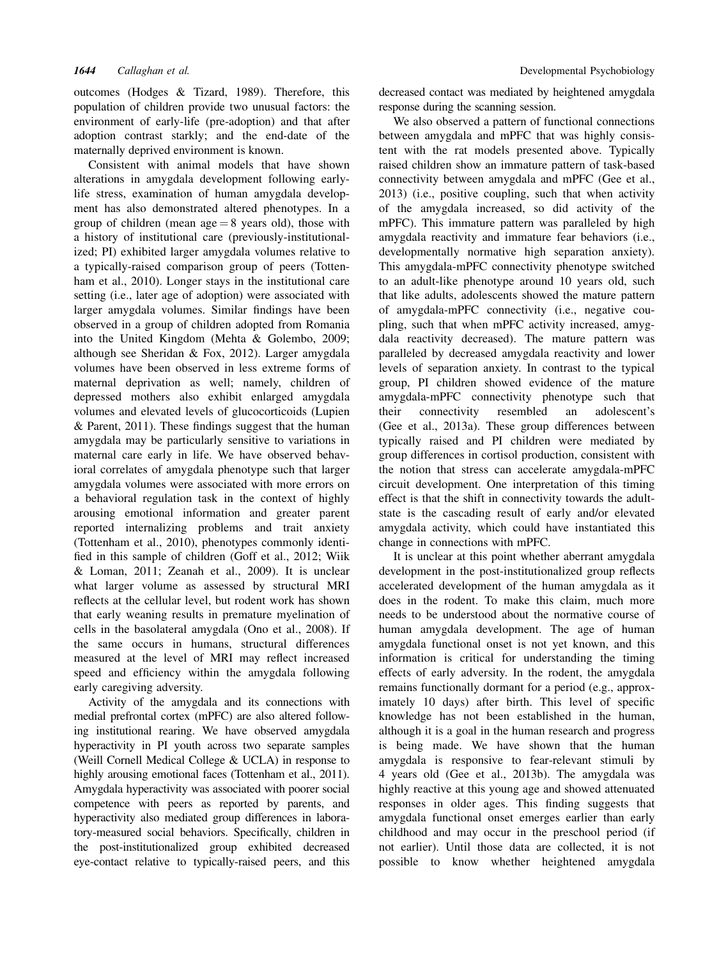outcomes (Hodges & Tizard, 1989). Therefore, this population of children provide two unusual factors: the environment of early-life (pre-adoption) and that after adoption contrast starkly; and the end-date of the maternally deprived environment is known.

Consistent with animal models that have shown alterations in amygdala development following earlylife stress, examination of human amygdala development has also demonstrated altered phenotypes. In a group of children (mean  $age = 8$  years old), those with a history of institutional care (previously-institutionalized; PI) exhibited larger amygdala volumes relative to a typically-raised comparison group of peers (Tottenham et al., 2010). Longer stays in the institutional care setting (i.e., later age of adoption) were associated with larger amygdala volumes. Similar findings have been observed in a group of children adopted from Romania into the United Kingdom (Mehta & Golembo, 2009; although see Sheridan & Fox, 2012). Larger amygdala volumes have been observed in less extreme forms of maternal deprivation as well; namely, children of depressed mothers also exhibit enlarged amygdala volumes and elevated levels of glucocorticoids (Lupien & Parent, 2011). These findings suggest that the human amygdala may be particularly sensitive to variations in maternal care early in life. We have observed behavioral correlates of amygdala phenotype such that larger amygdala volumes were associated with more errors on a behavioral regulation task in the context of highly arousing emotional information and greater parent reported internalizing problems and trait anxiety (Tottenham et al., 2010), phenotypes commonly identified in this sample of children (Goff et al., 2012; Wiik & Loman, 2011; Zeanah et al., 2009). It is unclear what larger volume as assessed by structural MRI reflects at the cellular level, but rodent work has shown that early weaning results in premature myelination of cells in the basolateral amygdala (Ono et al., 2008). If the same occurs in humans, structural differences measured at the level of MRI may reflect increased speed and efficiency within the amygdala following early caregiving adversity.

Activity of the amygdala and its connections with medial prefrontal cortex (mPFC) are also altered following institutional rearing. We have observed amygdala hyperactivity in PI youth across two separate samples (Weill Cornell Medical College & UCLA) in response to highly arousing emotional faces (Tottenham et al., 2011). Amygdala hyperactivity was associated with poorer social competence with peers as reported by parents, and hyperactivity also mediated group differences in laboratory-measured social behaviors. Specifically, children in the post-institutionalized group exhibited decreased eye-contact relative to typically-raised peers, and this decreased contact was mediated by heightened amygdala response during the scanning session.

We also observed a pattern of functional connections between amygdala and mPFC that was highly consistent with the rat models presented above. Typically raised children show an immature pattern of task-based connectivity between amygdala and mPFC (Gee et al., 2013) (i.e., positive coupling, such that when activity of the amygdala increased, so did activity of the mPFC). This immature pattern was paralleled by high amygdala reactivity and immature fear behaviors (i.e., developmentally normative high separation anxiety). This amygdala-mPFC connectivity phenotype switched to an adult-like phenotype around 10 years old, such that like adults, adolescents showed the mature pattern of amygdala-mPFC connectivity (i.e., negative coupling, such that when mPFC activity increased, amygdala reactivity decreased). The mature pattern was paralleled by decreased amygdala reactivity and lower levels of separation anxiety. In contrast to the typical group, PI children showed evidence of the mature amygdala-mPFC connectivity phenotype such that their connectivity resembled an adolescent's (Gee et al., 2013a). These group differences between typically raised and PI children were mediated by group differences in cortisol production, consistent with the notion that stress can accelerate amygdala-mPFC circuit development. One interpretation of this timing effect is that the shift in connectivity towards the adultstate is the cascading result of early and/or elevated amygdala activity, which could have instantiated this change in connections with mPFC.

It is unclear at this point whether aberrant amygdala development in the post-institutionalized group reflects accelerated development of the human amygdala as it does in the rodent. To make this claim, much more needs to be understood about the normative course of human amygdala development. The age of human amygdala functional onset is not yet known, and this information is critical for understanding the timing effects of early adversity. In the rodent, the amygdala remains functionally dormant for a period (e.g., approximately 10 days) after birth. This level of specific knowledge has not been established in the human, although it is a goal in the human research and progress is being made. We have shown that the human amygdala is responsive to fear-relevant stimuli by 4 years old (Gee et al., 2013b). The amygdala was highly reactive at this young age and showed attenuated responses in older ages. This finding suggests that amygdala functional onset emerges earlier than early childhood and may occur in the preschool period (if not earlier). Until those data are collected, it is not possible to know whether heightened amygdala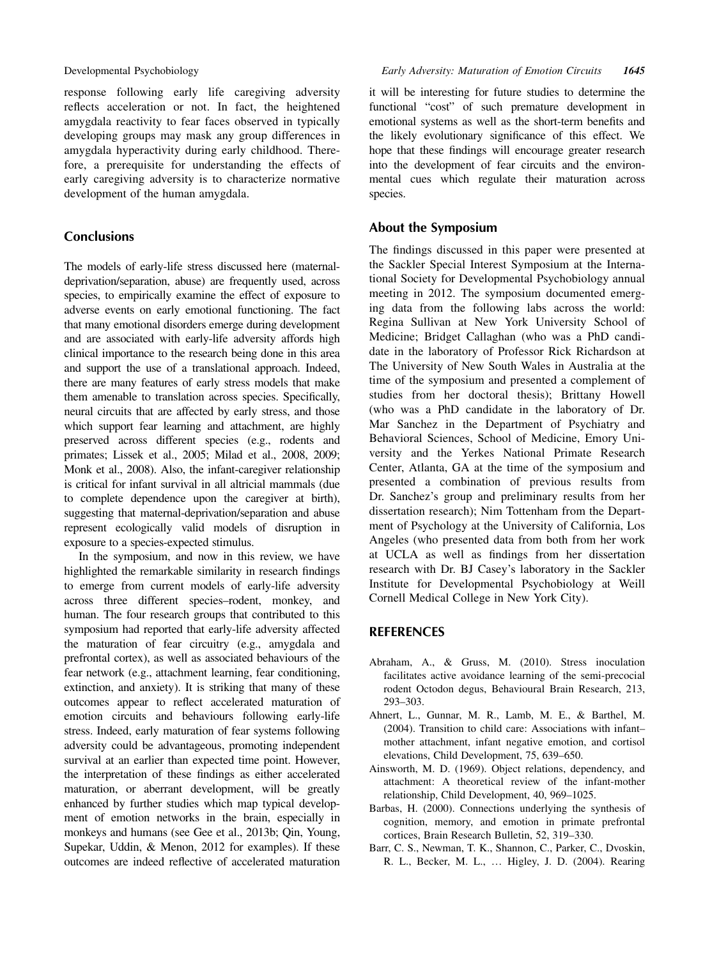response following early life caregiving adversity reflects acceleration or not. In fact, the heightened amygdala reactivity to fear faces observed in typically developing groups may mask any group differences in amygdala hyperactivity during early childhood. Therefore, a prerequisite for understanding the effects of early caregiving adversity is to characterize normative development of the human amygdala.

#### **Conclusions**

The models of early-life stress discussed here (maternaldeprivation/separation, abuse) are frequently used, across species, to empirically examine the effect of exposure to adverse events on early emotional functioning. The fact that many emotional disorders emerge during development and are associated with early-life adversity affords high clinical importance to the research being done in this area and support the use of a translational approach. Indeed, there are many features of early stress models that make them amenable to translation across species. Specifically, neural circuits that are affected by early stress, and those which support fear learning and attachment, are highly preserved across different species (e.g., rodents and primates; Lissek et al., 2005; Milad et al., 2008, 2009; Monk et al., 2008). Also, the infant-caregiver relationship is critical for infant survival in all altricial mammals (due to complete dependence upon the caregiver at birth), suggesting that maternal-deprivation/separation and abuse represent ecologically valid models of disruption in exposure to a species-expected stimulus.

In the symposium, and now in this review, we have highlighted the remarkable similarity in research findings to emerge from current models of early-life adversity across three different species–rodent, monkey, and human. The four research groups that contributed to this symposium had reported that early-life adversity affected the maturation of fear circuitry (e.g., amygdala and prefrontal cortex), as well as associated behaviours of the fear network (e.g., attachment learning, fear conditioning, extinction, and anxiety). It is striking that many of these outcomes appear to reflect accelerated maturation of emotion circuits and behaviours following early-life stress. Indeed, early maturation of fear systems following adversity could be advantageous, promoting independent survival at an earlier than expected time point. However, the interpretation of these findings as either accelerated maturation, or aberrant development, will be greatly enhanced by further studies which map typical development of emotion networks in the brain, especially in monkeys and humans (see Gee et al., 2013b; Qin, Young, Supekar, Uddin, & Menon, 2012 for examples). If these outcomes are indeed reflective of accelerated maturation it will be interesting for future studies to determine the functional "cost" of such premature development in emotional systems as well as the short-term benefits and the likely evolutionary significance of this effect. We hope that these findings will encourage greater research into the development of fear circuits and the environmental cues which regulate their maturation across species.

#### About the Symposium

The findings discussed in this paper were presented at the Sackler Special Interest Symposium at the International Society for Developmental Psychobiology annual meeting in 2012. The symposium documented emerging data from the following labs across the world: Regina Sullivan at New York University School of Medicine; Bridget Callaghan (who was a PhD candidate in the laboratory of Professor Rick Richardson at The University of New South Wales in Australia at the time of the symposium and presented a complement of studies from her doctoral thesis); Brittany Howell (who was a PhD candidate in the laboratory of Dr. Mar Sanchez in the Department of Psychiatry and Behavioral Sciences, School of Medicine, Emory University and the Yerkes National Primate Research Center, Atlanta, GA at the time of the symposium and presented a combination of previous results from Dr. Sanchez's group and preliminary results from her dissertation research); Nim Tottenham from the Department of Psychology at the University of California, Los Angeles (who presented data from both from her work at UCLA as well as findings from her dissertation research with Dr. BJ Casey's laboratory in the Sackler Institute for Developmental Psychobiology at Weill Cornell Medical College in New York City).

#### REFERENCES

- Abraham, A., & Gruss, M. (2010). Stress inoculation facilitates active avoidance learning of the semi-precocial rodent Octodon degus, Behavioural Brain Research, 213, 293–303.
- Ahnert, L., Gunnar, M. R., Lamb, M. E., & Barthel, M. (2004). Transition to child care: Associations with infant– mother attachment, infant negative emotion, and cortisol elevations, Child Development, 75, 639–650.
- Ainsworth, M. D. (1969). Object relations, dependency, and attachment: A theoretical review of the infant-mother relationship, Child Development, 40, 969–1025.
- Barbas, H. (2000). Connections underlying the synthesis of cognition, memory, and emotion in primate prefrontal cortices, Brain Research Bulletin, 52, 319–330.
- Barr, C. S., Newman, T. K., Shannon, C., Parker, C., Dvoskin, R. L., Becker, M. L., … Higley, J. D. (2004). Rearing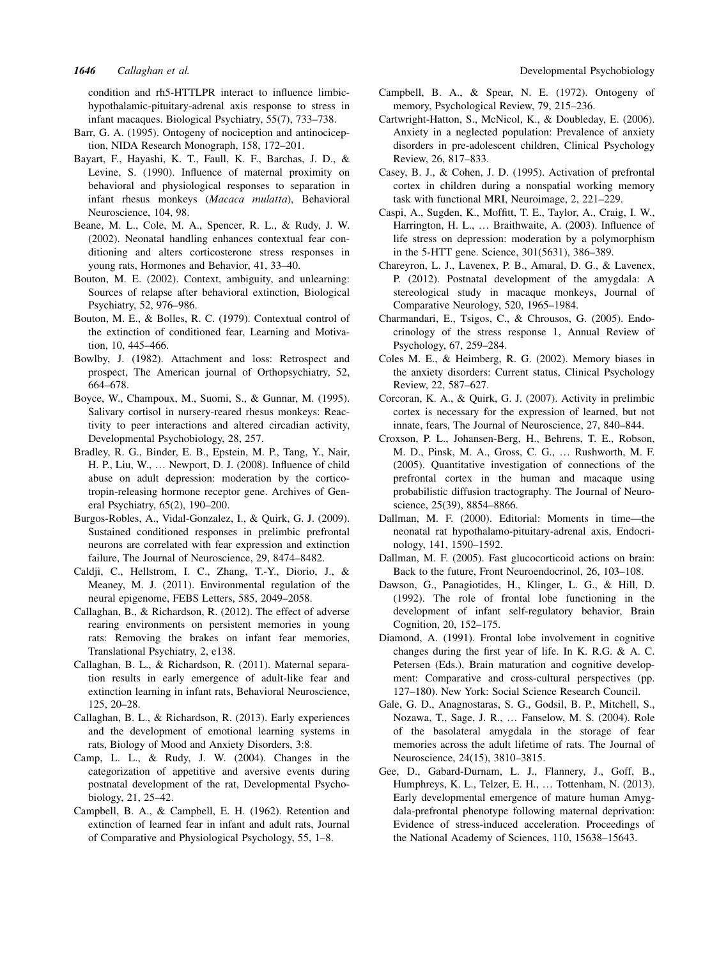condition and rh5-HTTLPR interact to influence limbichypothalamic-pituitary-adrenal axis response to stress in infant macaques. Biological Psychiatry, 55(7), 733–738.

- Barr, G. A. (1995). Ontogeny of nociception and antinociception, NIDA Research Monograph, 158, 172–201.
- Bayart, F., Hayashi, K. T., Faull, K. F., Barchas, J. D., & Levine, S. (1990). Influence of maternal proximity on behavioral and physiological responses to separation in infant rhesus monkeys (Macaca mulatta), Behavioral Neuroscience, 104, 98.
- Beane, M. L., Cole, M. A., Spencer, R. L., & Rudy, J. W. (2002). Neonatal handling enhances contextual fear conditioning and alters corticosterone stress responses in young rats, Hormones and Behavior, 41, 33–40.
- Bouton, M. E. (2002). Context, ambiguity, and unlearning: Sources of relapse after behavioral extinction, Biological Psychiatry, 52, 976–986.
- Bouton, M. E., & Bolles, R. C. (1979). Contextual control of the extinction of conditioned fear, Learning and Motivation, 10, 445–466.
- Bowlby, J. (1982). Attachment and loss: Retrospect and prospect, The American journal of Orthopsychiatry, 52, 664–678.
- Boyce, W., Champoux, M., Suomi, S., & Gunnar, M. (1995). Salivary cortisol in nursery-reared rhesus monkeys: Reactivity to peer interactions and altered circadian activity, Developmental Psychobiology, 28, 257.
- Bradley, R. G., Binder, E. B., Epstein, M. P., Tang, Y., Nair, H. P., Liu, W., … Newport, D. J. (2008). Influence of child abuse on adult depression: moderation by the corticotropin-releasing hormone receptor gene. Archives of General Psychiatry, 65(2), 190–200.
- Burgos-Robles, A., Vidal-Gonzalez, I., & Quirk, G. J. (2009). Sustained conditioned responses in prelimbic prefrontal neurons are correlated with fear expression and extinction failure, The Journal of Neuroscience, 29, 8474–8482.
- Caldji, C., Hellstrom, I. C., Zhang, T.-Y., Diorio, J., & Meaney, M. J. (2011). Environmental regulation of the neural epigenome, FEBS Letters, 585, 2049–2058.
- Callaghan, B., & Richardson, R. (2012). The effect of adverse rearing environments on persistent memories in young rats: Removing the brakes on infant fear memories, Translational Psychiatry, 2, e138.
- Callaghan, B. L., & Richardson, R. (2011). Maternal separation results in early emergence of adult-like fear and extinction learning in infant rats, Behavioral Neuroscience, 125, 20–28.
- Callaghan, B. L., & Richardson, R. (2013). Early experiences and the development of emotional learning systems in rats, Biology of Mood and Anxiety Disorders, 3:8.
- Camp, L. L., & Rudy, J. W. (2004). Changes in the categorization of appetitive and aversive events during postnatal development of the rat, Developmental Psychobiology, 21, 25–42.
- Campbell, B. A., & Campbell, E. H. (1962). Retention and extinction of learned fear in infant and adult rats, Journal of Comparative and Physiological Psychology, 55, 1–8.
- Campbell, B. A., & Spear, N. E. (1972). Ontogeny of memory, Psychological Review, 79, 215–236.
- Cartwright-Hatton, S., McNicol, K., & Doubleday, E. (2006). Anxiety in a neglected population: Prevalence of anxiety disorders in pre-adolescent children, Clinical Psychology Review, 26, 817–833.
- Casey, B. J., & Cohen, J. D. (1995). Activation of prefrontal cortex in children during a nonspatial working memory task with functional MRI, Neuroimage, 2, 221–229.
- Caspi, A., Sugden, K., Moffitt, T. E., Taylor, A., Craig, I. W., Harrington, H. L., … Braithwaite, A. (2003). Influence of life stress on depression: moderation by a polymorphism in the 5-HTT gene. Science, 301(5631), 386–389.
- Chareyron, L. J., Lavenex, P. B., Amaral, D. G., & Lavenex, P. (2012). Postnatal development of the amygdala: A stereological study in macaque monkeys, Journal of Comparative Neurology, 520, 1965–1984.
- Charmandari, E., Tsigos, C., & Chrousos, G. (2005). Endocrinology of the stress response 1, Annual Review of Psychology, 67, 259–284.
- Coles M. E., & Heimberg, R. G. (2002). Memory biases in the anxiety disorders: Current status, Clinical Psychology Review, 22, 587–627.
- Corcoran, K. A., & Quirk, G. J. (2007). Activity in prelimbic cortex is necessary for the expression of learned, but not innate, fears, The Journal of Neuroscience, 27, 840–844.
- Croxson, P. L., Johansen-Berg, H., Behrens, T. E., Robson, M. D., Pinsk, M. A., Gross, C. G., … Rushworth, M. F. (2005). Quantitative investigation of connections of the prefrontal cortex in the human and macaque using probabilistic diffusion tractography. The Journal of Neuroscience, 25(39), 8854–8866.
- Dallman, M. F. (2000). Editorial: Moments in time—the neonatal rat hypothalamo-pituitary-adrenal axis, Endocrinology, 141, 1590–1592.
- Dallman, M. F. (2005). Fast glucocorticoid actions on brain: Back to the future, Front Neuroendocrinol, 26, 103–108.
- Dawson, G., Panagiotides, H., Klinger, L. G., & Hill, D. (1992). The role of frontal lobe functioning in the development of infant self-regulatory behavior, Brain Cognition, 20, 152–175.
- Diamond, A. (1991). Frontal lobe involvement in cognitive changes during the first year of life. In K. R.G. & A. C. Petersen (Eds.), Brain maturation and cognitive development: Comparative and cross-cultural perspectives (pp. 127–180). New York: Social Science Research Council.
- Gale, G. D., Anagnostaras, S. G., Godsil, B. P., Mitchell, S., Nozawa, T., Sage, J. R., … Fanselow, M. S. (2004). Role of the basolateral amygdala in the storage of fear memories across the adult lifetime of rats. The Journal of Neuroscience, 24(15), 3810–3815.
- Gee, D., Gabard-Durnam, L. J., Flannery, J., Goff, B., Humphreys, K. L., Telzer, E. H., … Tottenham, N. (2013). Early developmental emergence of mature human Amygdala-prefrontal phenotype following maternal deprivation: Evidence of stress-induced acceleration. Proceedings of the National Academy of Sciences, 110, 15638–15643.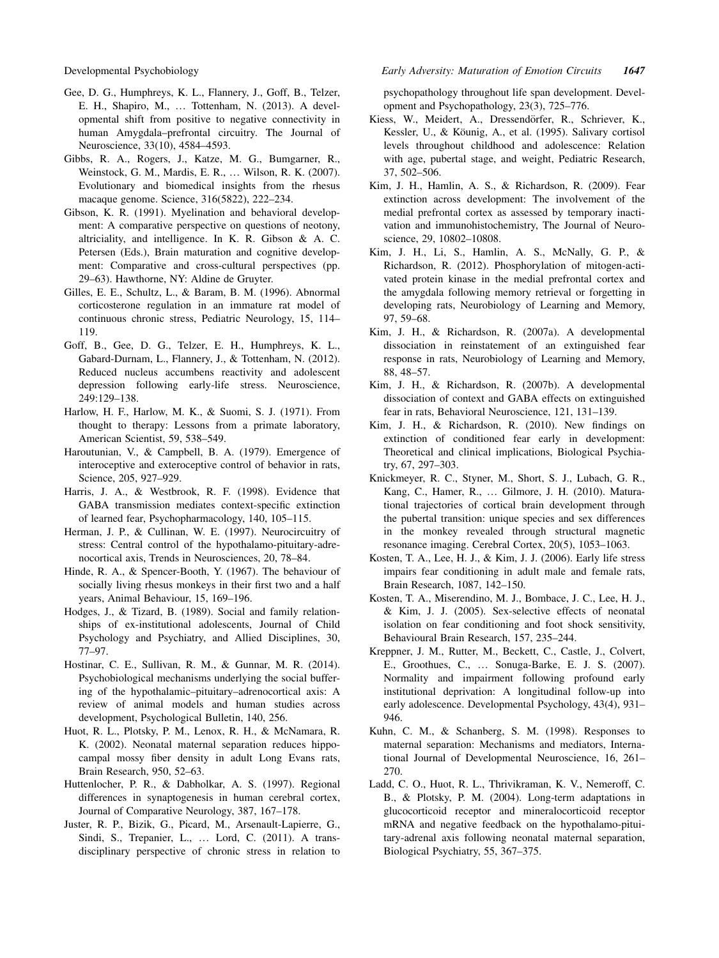- Gee, D. G., Humphreys, K. L., Flannery, J., Goff, B., Telzer, E. H., Shapiro, M., … Tottenham, N. (2013). A developmental shift from positive to negative connectivity in human Amygdala–prefrontal circuitry. The Journal of Neuroscience, 33(10), 4584–4593.
- Gibbs, R. A., Rogers, J., Katze, M. G., Bumgarner, R., Weinstock, G. M., Mardis, E. R., … Wilson, R. K. (2007). Evolutionary and biomedical insights from the rhesus macaque genome. Science, 316(5822), 222–234.
- Gibson, K. R. (1991). Myelination and behavioral development: A comparative perspective on questions of neotony, altriciality, and intelligence. In K. R. Gibson & A. C. Petersen (Eds.), Brain maturation and cognitive development: Comparative and cross-cultural perspectives (pp. 29–63). Hawthorne, NY: Aldine de Gruyter.
- Gilles, E. E., Schultz, L., & Baram, B. M. (1996). Abnormal corticosterone regulation in an immature rat model of continuous chronic stress, Pediatric Neurology, 15, 114– 119.
- Goff, B., Gee, D. G., Telzer, E. H., Humphreys, K. L., Gabard-Durnam, L., Flannery, J., & Tottenham, N. (2012). Reduced nucleus accumbens reactivity and adolescent depression following early-life stress. Neuroscience, 249:129–138.
- Harlow, H. F., Harlow, M. K., & Suomi, S. J. (1971). From thought to therapy: Lessons from a primate laboratory, American Scientist, 59, 538–549.
- Haroutunian, V., & Campbell, B. A. (1979). Emergence of interoceptive and exteroceptive control of behavior in rats, Science, 205, 927–929.
- Harris, J. A., & Westbrook, R. F. (1998). Evidence that GABA transmission mediates context-specific extinction of learned fear, Psychopharmacology, 140, 105–115.
- Herman, J. P., & Cullinan, W. E. (1997). Neurocircuitry of stress: Central control of the hypothalamo-pituitary-adrenocortical axis, Trends in Neurosciences, 20, 78–84.
- Hinde, R. A., & Spencer-Booth, Y. (1967). The behaviour of socially living rhesus monkeys in their first two and a half years, Animal Behaviour, 15, 169–196.
- Hodges, J., & Tizard, B. (1989). Social and family relationships of ex-institutional adolescents, Journal of Child Psychology and Psychiatry, and Allied Disciplines, 30, 77–97.
- Hostinar, C. E., Sullivan, R. M., & Gunnar, M. R. (2014). Psychobiological mechanisms underlying the social buffering of the hypothalamic–pituitary–adrenocortical axis: A review of animal models and human studies across development, Psychological Bulletin, 140, 256.
- Huot, R. L., Plotsky, P. M., Lenox, R. H., & McNamara, R. K. (2002). Neonatal maternal separation reduces hippocampal mossy fiber density in adult Long Evans rats, Brain Research, 950, 52–63.
- Huttenlocher, P. R., & Dabholkar, A. S. (1997). Regional differences in synaptogenesis in human cerebral cortex, Journal of Comparative Neurology, 387, 167–178.
- Juster, R. P., Bizik, G., Picard, M., Arsenault-Lapierre, G., Sindi, S., Trepanier, L., … Lord, C. (2011). A transdisciplinary perspective of chronic stress in relation to

psychopathology throughout life span development. Development and Psychopathology, 23(3), 725–776.

- Kiess, W., Meidert, A., Dressendörfer, R., Schriever, K., Kessler, U., & Köunig, A., et al. (1995). Salivary cortisol levels throughout childhood and adolescence: Relation with age, pubertal stage, and weight, Pediatric Research, 37, 502–506.
- Kim, J. H., Hamlin, A. S., & Richardson, R. (2009). Fear extinction across development: The involvement of the medial prefrontal cortex as assessed by temporary inactivation and immunohistochemistry, The Journal of Neuroscience, 29, 10802–10808.
- Kim, J. H., Li, S., Hamlin, A. S., McNally, G. P., & Richardson, R. (2012). Phosphorylation of mitogen-activated protein kinase in the medial prefrontal cortex and the amygdala following memory retrieval or forgetting in developing rats, Neurobiology of Learning and Memory, 97, 59–68.
- Kim, J. H., & Richardson, R. (2007a). A developmental dissociation in reinstatement of an extinguished fear response in rats, Neurobiology of Learning and Memory, 88, 48–57.
- Kim, J. H., & Richardson, R. (2007b). A developmental dissociation of context and GABA effects on extinguished fear in rats, Behavioral Neuroscience, 121, 131–139.
- Kim, J. H., & Richardson, R. (2010). New findings on extinction of conditioned fear early in development: Theoretical and clinical implications, Biological Psychiatry, 67, 297–303.
- Knickmeyer, R. C., Styner, M., Short, S. J., Lubach, G. R., Kang, C., Hamer, R., … Gilmore, J. H. (2010). Maturational trajectories of cortical brain development through the pubertal transition: unique species and sex differences in the monkey revealed through structural magnetic resonance imaging. Cerebral Cortex, 20(5), 1053–1063.
- Kosten, T. A., Lee, H. J., & Kim, J. J. (2006). Early life stress impairs fear conditioning in adult male and female rats, Brain Research, 1087, 142–150.
- Kosten, T. A., Miserendino, M. J., Bombace, J. C., Lee, H. J., & Kim, J. J. (2005). Sex-selective effects of neonatal isolation on fear conditioning and foot shock sensitivity, Behavioural Brain Research, 157, 235–244.
- Kreppner, J. M., Rutter, M., Beckett, C., Castle, J., Colvert, E., Groothues, C., … Sonuga-Barke, E. J. S. (2007). Normality and impairment following profound early institutional deprivation: A longitudinal follow-up into early adolescence. Developmental Psychology, 43(4), 931– 946.
- Kuhn, C. M., & Schanberg, S. M. (1998). Responses to maternal separation: Mechanisms and mediators, International Journal of Developmental Neuroscience, 16, 261– 270.
- Ladd, C. O., Huot, R. L., Thrivikraman, K. V., Nemeroff, C. B., & Plotsky, P. M. (2004). Long-term adaptations in glucocorticoid receptor and mineralocorticoid receptor mRNA and negative feedback on the hypothalamo-pituitary-adrenal axis following neonatal maternal separation, Biological Psychiatry, 55, 367–375.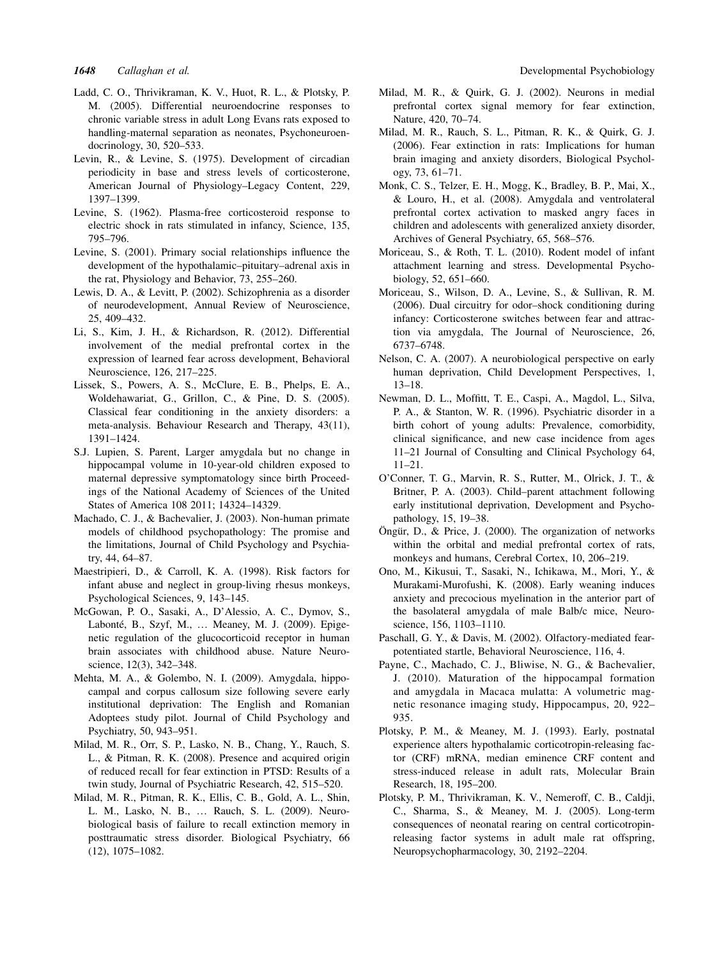- Ladd, C. O., Thrivikraman, K. V., Huot, R. L., & Plotsky, P. M. (2005). Differential neuroendocrine responses to chronic variable stress in adult Long Evans rats exposed to handling-maternal separation as neonates, Psychoneuroendocrinology, 30, 520–533.
- Levin, R., & Levine, S. (1975). Development of circadian periodicity in base and stress levels of corticosterone, American Journal of Physiology–Legacy Content, 229, 1397–1399.
- Levine, S. (1962). Plasma-free corticosteroid response to electric shock in rats stimulated in infancy, Science, 135, 795–796.
- Levine, S. (2001). Primary social relationships influence the development of the hypothalamic–pituitary–adrenal axis in the rat, Physiology and Behavior, 73, 255–260.
- Lewis, D. A., & Levitt, P. (2002). Schizophrenia as a disorder of neurodevelopment, Annual Review of Neuroscience, 25, 409–432.
- Li, S., Kim, J. H., & Richardson, R. (2012). Differential involvement of the medial prefrontal cortex in the expression of learned fear across development, Behavioral Neuroscience, 126, 217–225.
- Lissek, S., Powers, A. S., McClure, E. B., Phelps, E. A., Woldehawariat, G., Grillon, C., & Pine, D. S. (2005). Classical fear conditioning in the anxiety disorders: a meta-analysis. Behaviour Research and Therapy, 43(11), 1391–1424.
- S.J. Lupien, S. Parent, Larger amygdala but no change in hippocampal volume in 10-year-old children exposed to maternal depressive symptomatology since birth Proceedings of the National Academy of Sciences of the United States of America 108 2011; 14324–14329.
- Machado, C. J., & Bachevalier, J. (2003). Non-human primate models of childhood psychopathology: The promise and the limitations, Journal of Child Psychology and Psychiatry, 44, 64–87.
- Maestripieri, D., & Carroll, K. A. (1998). Risk factors for infant abuse and neglect in group-living rhesus monkeys, Psychological Sciences, 9, 143–145.
- McGowan, P. O., Sasaki, A., D'Alessio, A. C., Dymov, S., Labonté, B., Szyf, M., ... Meaney, M. J. (2009). Epigenetic regulation of the glucocorticoid receptor in human brain associates with childhood abuse. Nature Neuroscience, 12(3), 342–348.
- Mehta, M. A., & Golembo, N. I. (2009). Amygdala, hippocampal and corpus callosum size following severe early institutional deprivation: The English and Romanian Adoptees study pilot. Journal of Child Psychology and Psychiatry, 50, 943–951.
- Milad, M. R., Orr, S. P., Lasko, N. B., Chang, Y., Rauch, S. L., & Pitman, R. K. (2008). Presence and acquired origin of reduced recall for fear extinction in PTSD: Results of a twin study, Journal of Psychiatric Research, 42, 515–520.
- Milad, M. R., Pitman, R. K., Ellis, C. B., Gold, A. L., Shin, L. M., Lasko, N. B., … Rauch, S. L. (2009). Neurobiological basis of failure to recall extinction memory in posttraumatic stress disorder. Biological Psychiatry, 66 (12), 1075–1082.
- Milad, M. R., & Quirk, G. J. (2002). Neurons in medial prefrontal cortex signal memory for fear extinction, Nature, 420, 70–74.
- Milad, M. R., Rauch, S. L., Pitman, R. K., & Quirk, G. J. (2006). Fear extinction in rats: Implications for human brain imaging and anxiety disorders, Biological Psychology, 73, 61–71.
- Monk, C. S., Telzer, E. H., Mogg, K., Bradley, B. P., Mai, X., & Louro, H., et al. (2008). Amygdala and ventrolateral prefrontal cortex activation to masked angry faces in children and adolescents with generalized anxiety disorder, Archives of General Psychiatry, 65, 568–576.
- Moriceau, S., & Roth, T. L. (2010). Rodent model of infant attachment learning and stress. Developmental Psychobiology, 52, 651–660.
- Moriceau, S., Wilson, D. A., Levine, S., & Sullivan, R. M. (2006). Dual circuitry for odor–shock conditioning during infancy: Corticosterone switches between fear and attraction via amygdala, The Journal of Neuroscience, 26, 6737–6748.
- Nelson, C. A. (2007). A neurobiological perspective on early human deprivation, Child Development Perspectives, 1, 13–18.
- Newman, D. L., Moffitt, T. E., Caspi, A., Magdol, L., Silva, P. A., & Stanton, W. R. (1996). Psychiatric disorder in a birth cohort of young adults: Prevalence, comorbidity, clinical significance, and new case incidence from ages 11–21 Journal of Consulting and Clinical Psychology 64, 11–21.
- O'Conner, T. G., Marvin, R. S., Rutter, M., Olrick, J. T., & Britner, P. A. (2003). Child–parent attachment following early institutional deprivation, Development and Psychopathology, 15, 19–38.
- Öngür, D., & Price, J.  $(2000)$ . The organization of networks within the orbital and medial prefrontal cortex of rats, monkeys and humans, Cerebral Cortex, 10, 206–219.
- Ono, M., Kikusui, T., Sasaki, N., Ichikawa, M., Mori, Y., & Murakami-Murofushi, K. (2008). Early weaning induces anxiety and precocious myelination in the anterior part of the basolateral amygdala of male Balb/c mice, Neuroscience, 156, 1103–1110.
- Paschall, G. Y., & Davis, M. (2002). Olfactory-mediated fearpotentiated startle, Behavioral Neuroscience, 116, 4.
- Payne, C., Machado, C. J., Bliwise, N. G., & Bachevalier, J. (2010). Maturation of the hippocampal formation and amygdala in Macaca mulatta: A volumetric magnetic resonance imaging study, Hippocampus, 20, 922– 935.
- Plotsky, P. M., & Meaney, M. J. (1993). Early, postnatal experience alters hypothalamic corticotropin-releasing factor (CRF) mRNA, median eminence CRF content and stress-induced release in adult rats, Molecular Brain Research, 18, 195–200.
- Plotsky, P. M., Thrivikraman, K. V., Nemeroff, C. B., Caldji, C., Sharma, S., & Meaney, M. J. (2005). Long-term consequences of neonatal rearing on central corticotropinreleasing factor systems in adult male rat offspring, Neuropsychopharmacology, 30, 2192–2204.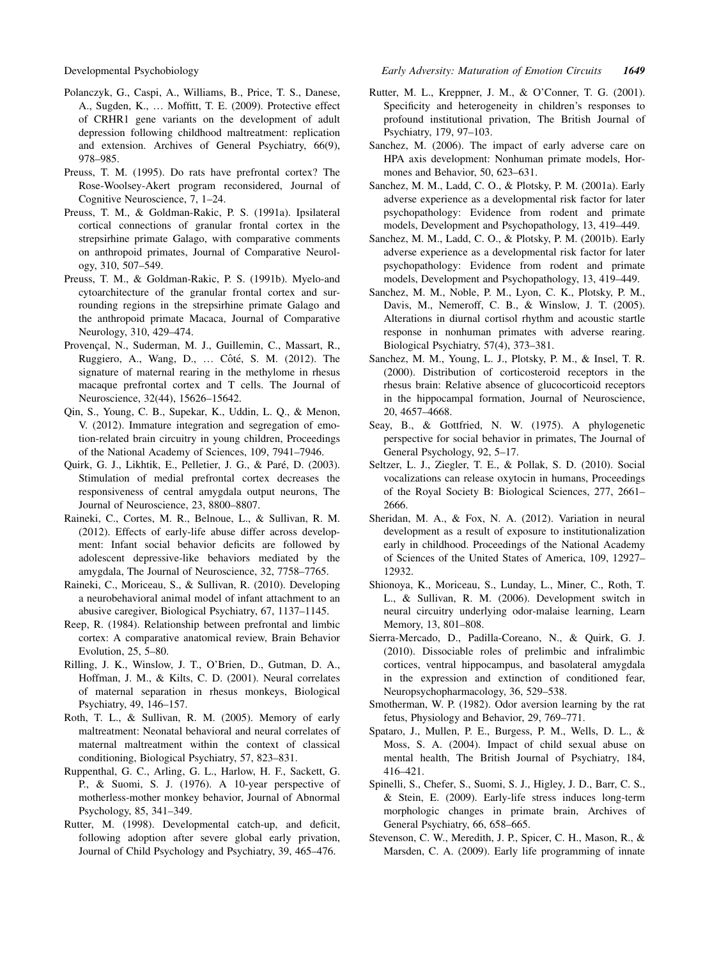- Polanczyk, G., Caspi, A., Williams, B., Price, T. S., Danese, A., Sugden, K., … Moffitt, T. E. (2009). Protective effect of CRHR1 gene variants on the development of adult depression following childhood maltreatment: replication and extension. Archives of General Psychiatry, 66(9), 978–985.
- Preuss, T. M. (1995). Do rats have prefrontal cortex? The Rose-Woolsey-Akert program reconsidered, Journal of Cognitive Neuroscience, 7, 1–24.
- Preuss, T. M., & Goldman-Rakic, P. S. (1991a). Ipsilateral cortical connections of granular frontal cortex in the strepsirhine primate Galago, with comparative comments on anthropoid primates, Journal of Comparative Neurology, 310, 507–549.
- Preuss, T. M., & Goldman-Rakic, P. S. (1991b). Myelo-and cytoarchitecture of the granular frontal cortex and surrounding regions in the strepsirhine primate Galago and the anthropoid primate Macaca, Journal of Comparative Neurology, 310, 429–474.
- Provençal, N., Suderman, M. J., Guillemin, C., Massart, R., Ruggiero, A., Wang, D., ... Côté, S. M. (2012). The signature of maternal rearing in the methylome in rhesus macaque prefrontal cortex and T cells. The Journal of Neuroscience, 32(44), 15626–15642.
- Qin, S., Young, C. B., Supekar, K., Uddin, L. Q., & Menon, V. (2012). Immature integration and segregation of emotion-related brain circuitry in young children, Proceedings of the National Academy of Sciences, 109, 7941–7946.
- Quirk, G. J., Likhtik, E., Pelletier, J. G., & Paré, D. (2003). Stimulation of medial prefrontal cortex decreases the responsiveness of central amygdala output neurons, The Journal of Neuroscience, 23, 8800–8807.
- Raineki, C., Cortes, M. R., Belnoue, L., & Sullivan, R. M. (2012). Effects of early-life abuse differ across development: Infant social behavior deficits are followed by adolescent depressive-like behaviors mediated by the amygdala, The Journal of Neuroscience, 32, 7758–7765.
- Raineki, C., Moriceau, S., & Sullivan, R. (2010). Developing a neurobehavioral animal model of infant attachment to an abusive caregiver, Biological Psychiatry, 67, 1137–1145.
- Reep, R. (1984). Relationship between prefrontal and limbic cortex: A comparative anatomical review, Brain Behavior Evolution, 25, 5–80.
- Rilling, J. K., Winslow, J. T., O'Brien, D., Gutman, D. A., Hoffman, J. M., & Kilts, C. D. (2001). Neural correlates of maternal separation in rhesus monkeys, Biological Psychiatry, 49, 146–157.
- Roth, T. L., & Sullivan, R. M. (2005). Memory of early maltreatment: Neonatal behavioral and neural correlates of maternal maltreatment within the context of classical conditioning, Biological Psychiatry, 57, 823–831.
- Ruppenthal, G. C., Arling, G. L., Harlow, H. F., Sackett, G. P., & Suomi, S. J. (1976). A 10-year perspective of motherless-mother monkey behavior, Journal of Abnormal Psychology, 85, 341–349.
- Rutter, M. (1998). Developmental catch-up, and deficit, following adoption after severe global early privation, Journal of Child Psychology and Psychiatry, 39, 465–476.
- Rutter, M. L., Kreppner, J. M., & O'Conner, T. G. (2001). Specificity and heterogeneity in children's responses to profound institutional privation, The British Journal of Psychiatry, 179, 97–103.
- Sanchez, M. (2006). The impact of early adverse care on HPA axis development: Nonhuman primate models, Hormones and Behavior, 50, 623–631.
- Sanchez, M. M., Ladd, C. O., & Plotsky, P. M. (2001a). Early adverse experience as a developmental risk factor for later psychopathology: Evidence from rodent and primate models, Development and Psychopathology, 13, 419–449.
- Sanchez, M. M., Ladd, C. O., & Plotsky, P. M. (2001b). Early adverse experience as a developmental risk factor for later psychopathology: Evidence from rodent and primate models, Development and Psychopathology, 13, 419–449.
- Sanchez, M. M., Noble, P. M., Lyon, C. K., Plotsky, P. M., Davis, M., Nemeroff, C. B., & Winslow, J. T. (2005). Alterations in diurnal cortisol rhythm and acoustic startle response in nonhuman primates with adverse rearing. Biological Psychiatry, 57(4), 373–381.
- Sanchez, M. M., Young, L. J., Plotsky, P. M., & Insel, T. R. (2000). Distribution of corticosteroid receptors in the rhesus brain: Relative absence of glucocorticoid receptors in the hippocampal formation, Journal of Neuroscience, 20, 4657–4668.
- Seay, B., & Gottfried, N. W. (1975). A phylogenetic perspective for social behavior in primates, The Journal of General Psychology, 92, 5–17.
- Seltzer, L. J., Ziegler, T. E., & Pollak, S. D. (2010). Social vocalizations can release oxytocin in humans, Proceedings of the Royal Society B: Biological Sciences, 277, 2661– 2666.
- Sheridan, M. A., & Fox, N. A. (2012). Variation in neural development as a result of exposure to institutionalization early in childhood. Proceedings of the National Academy of Sciences of the United States of America, 109, 12927– 12932.
- Shionoya, K., Moriceau, S., Lunday, L., Miner, C., Roth, T. L., & Sullivan, R. M. (2006). Development switch in neural circuitry underlying odor-malaise learning, Learn Memory, 13, 801–808.
- Sierra-Mercado, D., Padilla-Coreano, N., & Quirk, G. J. (2010). Dissociable roles of prelimbic and infralimbic cortices, ventral hippocampus, and basolateral amygdala in the expression and extinction of conditioned fear, Neuropsychopharmacology, 36, 529–538.
- Smotherman, W. P. (1982). Odor aversion learning by the rat fetus, Physiology and Behavior, 29, 769–771.
- Spataro, J., Mullen, P. E., Burgess, P. M., Wells, D. L., & Moss, S. A. (2004). Impact of child sexual abuse on mental health, The British Journal of Psychiatry, 184, 416–421.
- Spinelli, S., Chefer, S., Suomi, S. J., Higley, J. D., Barr, C. S., & Stein, E. (2009). Early-life stress induces long-term morphologic changes in primate brain, Archives of General Psychiatry, 66, 658–665.
- Stevenson, C. W., Meredith, J. P., Spicer, C. H., Mason, R., & Marsden, C. A. (2009). Early life programming of innate